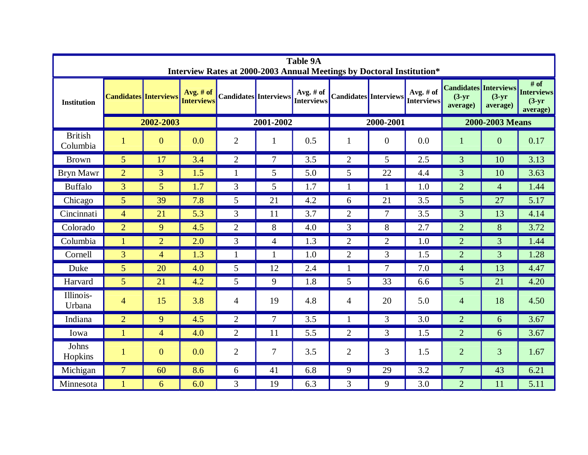| <b>Table 9A</b><br>Interview Rates at 2000-2003 Annual Meetings by Doctoral Institution* |                              |                  |                                |                              |                |                                |                              |                |                                  |                                                      |                      |                                                     |
|------------------------------------------------------------------------------------------|------------------------------|------------------|--------------------------------|------------------------------|----------------|--------------------------------|------------------------------|----------------|----------------------------------|------------------------------------------------------|----------------------|-----------------------------------------------------|
| <b>Institution</b>                                                                       | <b>Candidates Interviews</b> |                  | Avg. # of<br><b>Interviews</b> | <b>Candidates</b> Interviews |                | Avg. # of<br><b>Interviews</b> | <b>Candidates</b> Interviews |                | Avg. $#$ of<br><b>Interviews</b> | <b>Candidates Interviews</b><br>$(3-yr)$<br>average) | $(3-yr)$<br>average) | $#$ of<br><b>Interviews</b><br>$(3-yr)$<br>average) |
|                                                                                          | 2002-2003                    |                  |                                | 2001-2002                    |                |                                | 2000-2001                    |                |                                  | 2000-2003 Means                                      |                      |                                                     |
| <b>British</b><br>Columbia                                                               | $\mathbf{1}$                 | $\boldsymbol{0}$ | 0.0                            | $\overline{2}$               |                | 0.5                            | $\mathbf{1}$                 | $\overline{0}$ | 0.0                              | $\mathbf{1}$                                         | $\theta$             | 0.17                                                |
| <b>Brown</b>                                                                             | $5\overline{)}$              | 17               | 3.4                            | $\overline{2}$               | $\overline{7}$ | 3.5                            | $\overline{2}$               | 5              | 2.5                              | $\overline{3}$                                       | 10                   | 3.13                                                |
| Bryn Mawr                                                                                | $\overline{2}$               | $\overline{3}$   | 1.5                            | 1                            | 5              | 5.0                            | 5                            | 22             | 4.4                              | 3                                                    | 10                   | 3.63                                                |
| <b>Buffalo</b>                                                                           | $\overline{3}$               | 5 <sup>5</sup>   | 1.7                            | $\overline{3}$               | 5              | 1.7                            | 1                            | $\mathbf{1}$   | 1.0                              | $\overline{2}$                                       | $\overline{4}$       | 1.44                                                |
| Chicago                                                                                  | 5                            | 39               | 7.8                            | 5                            | 21             | 4.2                            | 6                            | 21             | 3.5                              | 5 <sup>5</sup>                                       | 27                   | 5.17                                                |
| Cincinnati                                                                               | $\overline{4}$               | 21               | 5.3                            | 3                            | 11             | 3.7                            | $\overline{2}$               | $\tau$         | 3.5                              | 3                                                    | 13                   | 4.14                                                |
| Colorado                                                                                 | $\overline{2}$               | 9                | 4.5                            | 2                            | 8              | 4.0                            | 3                            | 8              | 2.7                              | $\overline{2}$                                       | 8                    | 3.72                                                |
| Columbia                                                                                 | 1                            | $\overline{2}$   | 2.0                            | 3                            | $\overline{4}$ | 1.3                            | $\overline{2}$               | $\overline{2}$ | 1.0                              | $\overline{2}$                                       | 3                    | 1.44                                                |
| Cornell                                                                                  | $\overline{3}$               | $\overline{4}$   | 1.3                            | $\mathbf{1}$                 |                | 1.0                            | $\overline{2}$               | 3              | 1.5                              | $\overline{2}$                                       | 3                    | 1.28                                                |
| Duke                                                                                     | 5                            | 20               | 4.0                            | 5                            | 12             | 2.4                            | 1                            | $\overline{7}$ | 7.0                              | $\overline{4}$                                       | 13                   | 4.47                                                |
| Harvard                                                                                  | 5                            | 21               | 4.2                            | 5                            | 9              | 1.8                            | 5                            | 33             | 6.6                              | 5 <sup>5</sup>                                       | 21                   | 4.20                                                |
| Illinois-<br>Urbana                                                                      | $\overline{4}$               | 15               | 3.8                            | $\overline{4}$               | 19             | 4.8                            | $\overline{4}$               | 20             | 5.0                              | $\overline{4}$                                       | 18                   | 4.50                                                |
| Indiana                                                                                  | $\overline{2}$               | 9                | 4.5                            | $\overline{2}$               | $\tau$         | 3.5                            | 1                            | 3              | 3.0                              | $\overline{2}$                                       | 6                    | 3.67                                                |
| Iowa                                                                                     | $\mathbf{1}$                 | $\overline{4}$   | 4.0                            | $\overline{2}$               | 11             | 5.5                            | $\overline{2}$               | 3              | 1.5                              | $\overline{2}$                                       | 6                    | 3.67                                                |
| Johns<br>Hopkins                                                                         | 1                            | $\mathbf{0}$     | 0.0                            | $\overline{2}$               | 7              | 3.5                            | $\overline{2}$               | 3              | 1.5                              | $\overline{2}$                                       | 3                    | 1.67                                                |
| Michigan                                                                                 | $\overline{7}$               | 60               | 8.6                            | 6                            | 41             | 6.8                            | 9                            | 29             | 3.2                              | $\overline{7}$                                       | 43                   | 6.21                                                |
| Minnesota                                                                                | 1                            | 6                | 6.0                            | 3                            | 19             | 6.3                            | 3                            | 9              | 3.0                              | $\overline{2}$                                       | 11                   | 5.11                                                |